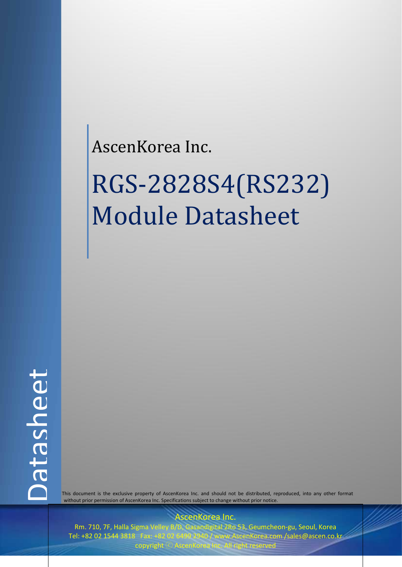## AscenKorea Inc.

# RGS-2828S4(RS232) Module Datasheet

 This document is the exclusive property of AscenKorea Inc. and should not be distributed, reproduced, into any other format without prior permission of AscenKorea Inc. Specifications subject to change without prior notice.

AscenKorea Inc.

Rm. 710, 7F, Halla Sigma Velley B/D, Gasandigital 2Ro 53, Geumcheon-gu, Seoul, Korea Tel: +82 02 1544 3818 Fax: +82 02 6499 2940 / www.AscenKorea.com /sales@ascen.co.kr copyright  $\odot$  AscenKo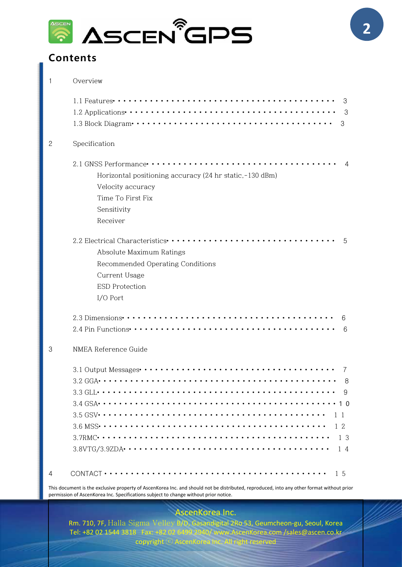

## **Contents**

| 1 | Overview                                                                                                                                       |
|---|------------------------------------------------------------------------------------------------------------------------------------------------|
|   | 3                                                                                                                                              |
|   | - 3                                                                                                                                            |
|   |                                                                                                                                                |
| 2 | Specification                                                                                                                                  |
|   | $\overline{4}$                                                                                                                                 |
|   | Horizontal positioning accuracy (24 hr static, -130 dBm)                                                                                       |
|   | Velocity accuracy                                                                                                                              |
|   | Time To First Fix                                                                                                                              |
|   | Sensitivity                                                                                                                                    |
|   | Receiver                                                                                                                                       |
|   | 2.2 Electrical Characteristics ······························· 5                                                                               |
|   | Absolute Maximum Ratings                                                                                                                       |
|   | Recommended Operating Conditions                                                                                                               |
|   | Current Usage                                                                                                                                  |
|   | <b>ESD Protection</b>                                                                                                                          |
|   | I/O Port                                                                                                                                       |
|   |                                                                                                                                                |
|   | 6                                                                                                                                              |
| 3 | NMEA Reference Guide                                                                                                                           |
|   |                                                                                                                                                |
|   | - 8                                                                                                                                            |
|   |                                                                                                                                                |
|   |                                                                                                                                                |
|   |                                                                                                                                                |
|   | 12                                                                                                                                             |
|   | -13                                                                                                                                            |
|   | 14                                                                                                                                             |
| 4 |                                                                                                                                                |
|   | This document is the exclusive property of Assentated Assentated and should not be distributed, reproduced into any other format without prior |

This document is the exclusive property of AscenKorea Inc. and should not be distributed, reproduced, into any other format without prior permission of AscenKorea Inc. Specifications subject to change without prior notice.

## AscenKorea Inc.

Rm. 710, 7F, Halla Sigma Velley B/D, Gasandigital 2Ro 53, Geumcheon-gu, Seoul, Korea Tel: +82 02 1544 3818 Fax: +82 02 6499 2940/ www.AscenKorea.com /sales@ascen.co.kr  $\mathsf{copyright} \odot \mathsf{AscenKorea}$  Inc. All right reserved  $\Box$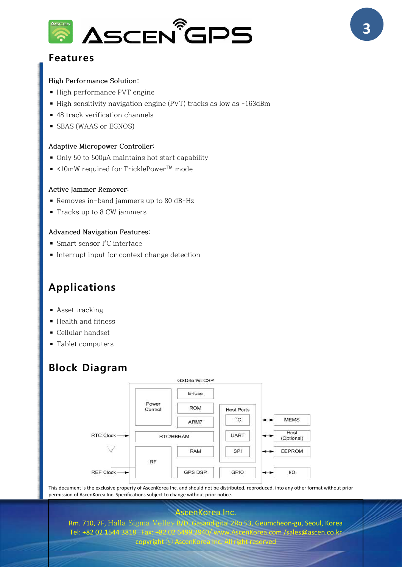

## **Features**

#### **High Performance Solution:**

- High performance PVT engine
- High sensitivity navigation engine (PVT) tracks as low as -163dBm
- 48 track verification channels
- SBAS (WAAS or EGNOS)

#### **Adaptive Micropower Controller:**

- Only 50 to 500µA maintains hot start capability
- ◾ <10mW required for TricklePower™ mode

#### **Active Jammer Remover:**

- Removes in-band jammers up to 80 dB-Hz
- Tracks up to 8 CW jammers

#### **Advanced Navigation Features:**

- Smart sensor I<sup>2</sup>C interface
- Interrupt input for context change detection

## **Applications**

- Asset tracking
- Health and fitness
- Cellular handset
- Tablet computers

## **Block Diagram**



This document is the exclusive property of AscenKorea Inc. and should not be distributed, reproduced, into any other format without prior permission of AscenKorea Inc. Specifications subject to change without prior notice.

#### AscenKorea Inc.

Rm. 710, 7F, Halla Sigma Velley B/D, Gasandigital 2Ro 53, Geumcheon-gu, Seoul, Korea Tel: +82 02 1544 3818 Fax: +82 02 6499 2940/ www.AscenKorea.com /sales@ascen.co.kr

#### copyright  $\odot$  AscenKore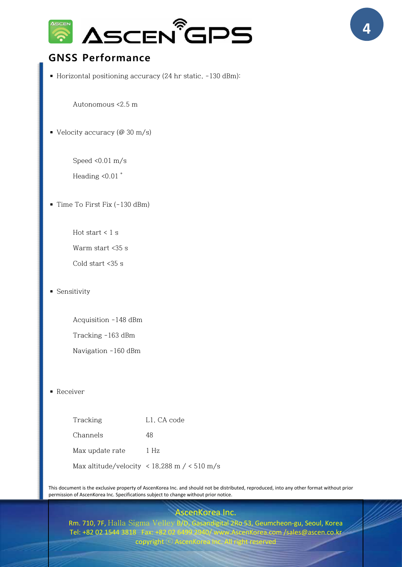

## **GNSS Performance**

■ Horizontal positioning accuracy (24 hr static, -130 dBm):

Autonomous <2.5 m

 $\bullet$  Velocity accuracy (@ 30 m/s)

Speed <0.01 m/s

Heading <0.01 °

■ Time To First Fix (-130 dBm)

Hot start  $< 1$  s

Warm start <35 s

Cold start <35 s

■ Sensitivity

Acquisition -148 dBm Tracking -163 dBm

Navigation -160 dBm

■ Receiver

| Tracking        | L1, CA code                                                                                   |
|-----------------|-----------------------------------------------------------------------------------------------|
| Channels        | 48                                                                                            |
| Max update rate | 1 Hz                                                                                          |
|                 | Max altitude/velocity $\langle 18,288 \text{ m } / \langle 510 \text{ m } / \text{s} \rangle$ |

This document is the exclusive property of AscenKorea Inc. and should not be distributed, reproduced, into any other format without prior permission of AscenKorea Inc. Specifications subject to change without prior notice.

## cenKorea Inc.

Rm. 710, 7F, Halla Sigma Velley B/D, Gasandigital 2Ro 53, Geumcheon-gu, Seoul, Korea Tel: +82 02 1544 3818 Fax: +82 02 6499 2940/ www.AscenKorea.com /sales@ascen.co.kr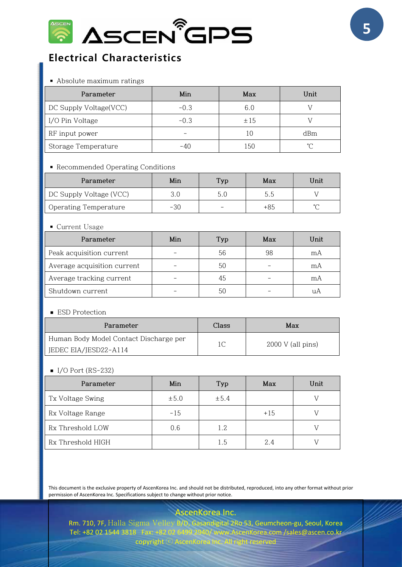

## **Electrical Characteristics**

■ Absolute maximum ratings

| Parameter              | Min    | Max | Unit |
|------------------------|--------|-----|------|
| DC Supply Voltage(VCC) | $-0.3$ | 6.0 |      |
| I/O Pin Voltage        | $-0.3$ | ±15 |      |
| RF input power         |        | 10  | dBm  |
| Storage Temperature    | -40    | 150 | °∩   |

#### ■ Recommended Operating Conditions

| Parameter               | Min   | Typ                      | Max   | Unit   |
|-------------------------|-------|--------------------------|-------|--------|
| DC Supply Voltage (VCC) | 3.0   |                          | 5.5   |        |
| Operating Temperature   | $-30$ | $\overline{\phantom{0}}$ | $+85$ | $\sim$ |

#### ■ Current Usage

| Parameter                   | Min | Typ | Max | Unit |
|-----------------------------|-----|-----|-----|------|
| Peak acquisition current    |     | 56  | 98  | mA   |
| Average acquisition current |     | 50  |     | mA   |
| Average tracking current    |     | 45  |     | mA   |
| Shutdown current            |     | 50  |     |      |

#### ■ ESD Protection

| Parameter                              | Class | Max                 |
|----------------------------------------|-------|---------------------|
| Human Body Model Contact Discharge per | 1C    | $2000 V$ (all pins) |
| JEDEC EIA/JESD22-A114                  |       |                     |

#### $I/O$  Port (RS-232)

| Parameter         | Min       | Typ   | Max   | Unit |
|-------------------|-----------|-------|-------|------|
| Tx Voltage Swing  | $\pm 5.0$ | ± 5.4 |       |      |
| Rx Voltage Range  | $-15$     |       | $+15$ |      |
| Rx Threshold LOW  | 0.6       | 1.2   |       |      |
| Rx Threshold HIGH |           | 1.5   | 2.4   |      |

This document is the exclusive property of AscenKorea Inc. and should not be distributed, reproduced, into any other format without prior permission of AscenKorea Inc. Specifications subject to change without prior notice.

AscenKorea Inc.

Rm. 710, 7F, Halla Sigma Velley B/D, Gasandigital 2Ro 53, Geumcheon-gu, Seoul, Korea Tel: +82 02 1544 3818 Fax: +82 02 6499 2940/ www.AscenKorea.com /sales@ascen.co.kr  $\mathsf{copyright} \odot \mathsf{AscenKorea}$  Inc. All right reserved  $\Box$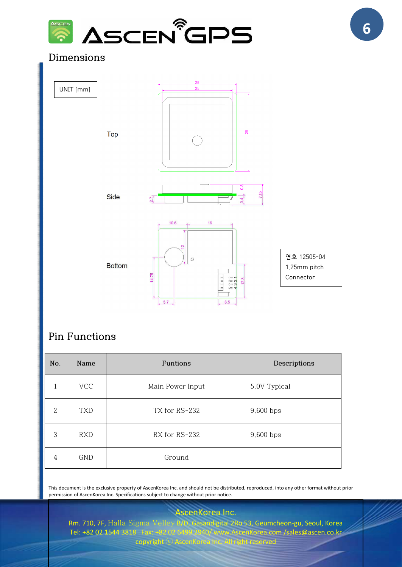

## **Dimensions**



## **Pin Functions**

| No.          | Name       | Funtions         | Descriptions |
|--------------|------------|------------------|--------------|
|              | <b>VCC</b> | Main Power Input | 5.0V Typical |
| $\mathbf{2}$ | <b>TXD</b> | TX for RS-232    | 9,600 bps    |
| 3            | <b>RXD</b> | RX for RS-232    | 9,600 bps    |
| 4            | GND        | Ground           |              |

This document is the exclusive property of AscenKorea Inc. and should not be distributed, reproduced, into any other format without prior permission of AscenKorea Inc. Specifications subject to change without prior notice.

AscenKorea Inc. Rm. 710, 7F, Halla Sigma Velley B/D, Gasandigital 2Ro 53, Geumcheon-gu, Seoul, Korea<br>Tel: +82 02 1544 3818 Fax: +82 02 6499 2940/www.AscenKorea.com /sales@ascen.co.kr  $w$ w. AscenKorea.com /sales@ascen.co.kr copyright ⓒ AscenKorea Inc. All right reserved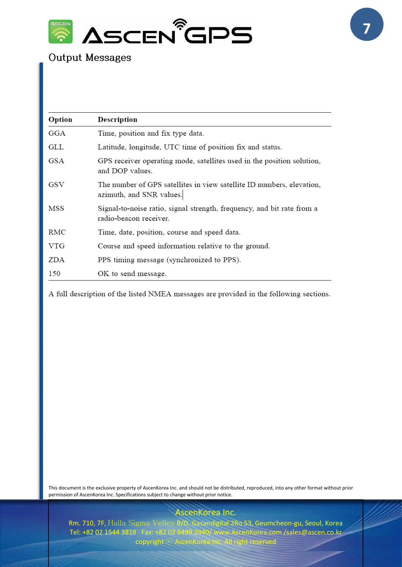

## **Output Messages**

| Option     | Description                                                                                       |
|------------|---------------------------------------------------------------------------------------------------|
| GGA        | Time, position and fix type data.                                                                 |
| GLL        | Latitude, longitude, UTC time of position fix and status.                                         |
| GSA        | GPS receiver operating mode, satellites used in the position solution,<br>and DOP values.         |
| GSV        | The number of GPS satellites in view satellite ID numbers, elevation,<br>azimuth, and SNR values. |
| MSS        | Signal-to-noise ratio, signal strength, frequency, and bit rate from a<br>radio-beacon receiver.  |
| RMC        | Time, date, position, course and speed data.                                                      |
| <b>VTG</b> | Course and speed information relative to the ground.                                              |
| ZDA        | PPS timing message (synchronized to PPS).                                                         |
| 150        | OK to send message.                                                                               |

A full description of the listed NMEA messages are provided in the following sections.

This document is the exclusive property of AscenKorea Inc. and should not be distributed, reproduced, into any other format without prior permission of AscenKorea Inc. Specifications subject to change without prior notice.

AscenKorea Inc.

Rm. 710, 7F, Halla Sigma Velley B/D, Gasandigital 2Ro 53, Geumcheon-gu, Seoul, Korea<br>Tel: +82 02 1544 3818 Fax: +82 02 6499 2940/www.AscenKorea.com /sales@ascen.co.kr 10/ www.AscenKorea.com /sales@ascen.co.kr copyright  $\odot$  AscenKorea In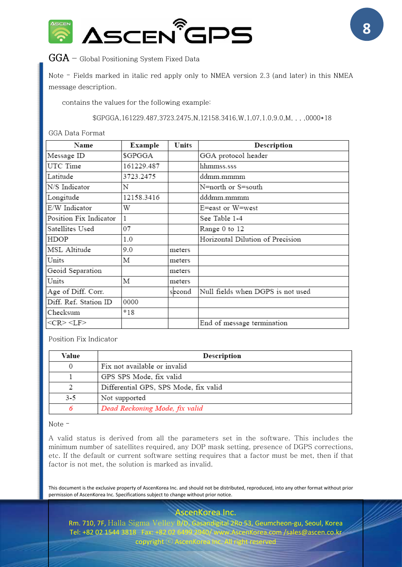

## **GGA** — Global Positioning System Fixed Data

Note – Fields marked in italic red apply only to NMEA version 2.3 (and later) in this NMEA message description.

contains the values for the following example:

\$GPGGA,161229.487,3723.2475,N,12158.3416,W,1,07,1.0,9.0,M, , , ,0000\*18

#### GGA Data Format

| Name                   | Example    | Units  | Description                       |
|------------------------|------------|--------|-----------------------------------|
| Message ID             | \$GPGGA    |        | GGA protocol header               |
| UTC Time               | 161229.487 |        | hhmmss.sss                        |
| Latitude               | 3723.2475  |        | ddmm.mmmm                         |
| N/S Indicator          | N          |        | N=north or S=south                |
| Longitude              | 12158.3416 |        | dddmm.mmmm                        |
| E/W Indicator          | W          |        | E=east or W=west                  |
| Position Fix Indicator |            |        | See Table 1-4                     |
| Satellites Used        | 07         |        | Range 0 to 12                     |
| HDOP                   | 1.0        |        | Horizontal Dilution of Precision  |
| MSL Altitude           | 9.0        | meters |                                   |
| Units                  | М          | meters |                                   |
| Geoid Separation       |            | meters |                                   |
| Units                  | М          | meters |                                   |
| Age of Diff. Corr.     |            | second | Null fields when DGPS is not used |
| Diff. Ref. Station ID  | 0000       |        |                                   |
| Checksum               | $*18$      |        |                                   |
| $<$ CR> $<$ LF>        |            |        | End of message termination        |

Position Fix Indicator

| Value | Description                           |  |  |
|-------|---------------------------------------|--|--|
|       | Fix not available or invalid          |  |  |
|       | GPS SPS Mode, fix valid               |  |  |
|       | Differential GPS, SPS Mode, fix valid |  |  |
| $3-5$ | Not supported                         |  |  |
|       | Dead Reckoning Mode, fix valid        |  |  |

#### Note –

A valid status is derived from all the parameters set in the software. This includes the minimum number of satellites required, any DOP mask setting, presence of DGPS corrections, etc. If the default or current software setting requires that a factor must be met, then if that factor is not met, the solution is marked as invalid.

This document is the exclusive property of AscenKorea Inc. and should not be distributed, reproduced, into any other format without prior permission of AscenKorea Inc. Specifications subject to change without prior notice.

AscenKorea Inc.

Rm. 710, 7F, Halla Sigma Velley B/D, Gasandigital 2Ro 53, Geumcheon-gu, Seoul, Korea Tel: +82 02 1544 3818 Fax: +82 02 6499 2940/ www.AscenKorea.com /sales@ascen.co.kr copyright  $\odot$  AscenKorea I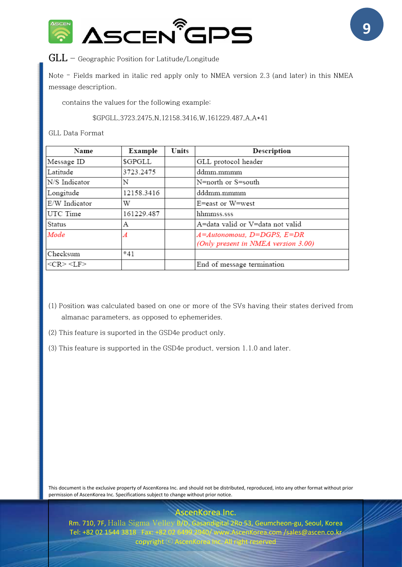

## **GLL** — Geographic Position for Latitude/Longitude

Note – Fields marked in italic red apply only to NMEA version 2.3 (and later) in this NMEA message description.

contains the values for the following example:

\$GPGLL,3723.2475,N,12158.3416,W,161229.487,A,A\*41

#### GLL Data Format

| Name            | Example    | Units | Description                                                       |
|-----------------|------------|-------|-------------------------------------------------------------------|
| Message ID      | \$GPGLL    |       | GLL protocol header                                               |
| Latitude        | 3723.2475  |       | ddmm.mmmm                                                         |
| N/S Indicator   | N          |       | N=north or S=south                                                |
| Longitude       | 12158.3416 |       | dddmm.mmmm                                                        |
| E/W Indicator   | W          |       | E=east or W=west                                                  |
| UTC Time        | 161229.487 |       | hhmmss.sss                                                        |
| Status          | А          |       | A=data valid or V=data not valid                                  |
| Mode            | Α          |       | A=Autonomous, D=DGPS, E=DR<br>(Only present in NMEA version 3.00) |
| Checksum        | $*41$      |       |                                                                   |
| $<$ CR> $<$ LF> |            |       | End of message termination                                        |

- (1) Position was calculated based on one or more of the SVs having their states derived from almanac parameters, as opposed to ephemerides.
- (2) This feature is suported in the GSD4e product only.
- (3) This feature is supported in the GSD4e product, version 1.1.0 and later.

This document is the exclusive property of AscenKorea Inc. and should not be distributed, reproduced, into any other format without prior permission of AscenKorea Inc. Specifications subject to change without prior notice.

AscenKorea Inc.

Rm. 710, 7F, Halla Sigma Velley B/D, Gasandigital 2Ro 53, Geumcheon-gu, Seoul, Korea Tel: +82 02 1544 3818 Fax: +82 02 6499 2940/ www.AscenKorea.com /sales@ascen.co.kr copyright  $\odot$  AscenKorea

**9**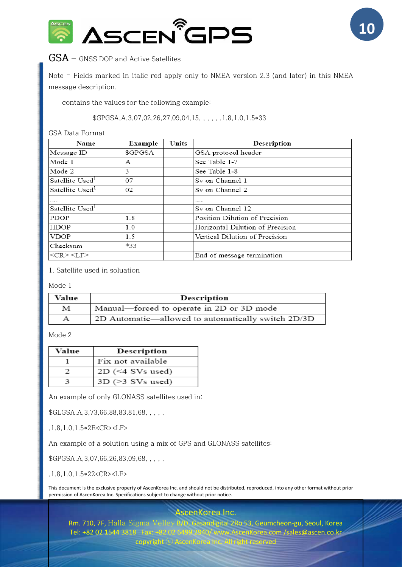

## **GSA** — GNSS DOP and Active Satellites

Note – Fields marked in italic red apply only to NMEA version 2.3 (and later) in this NMEA message description.

contains the values for the following example:

#### \$GPGSA,A,3,07,02,26,27,09,04,15, , , , , ,1.8,1.0,1.5\*33

GSA Data Format

| Name                        | Example | Units | Description                      |
|-----------------------------|---------|-------|----------------------------------|
| Message ID                  | \$GPGSA |       | GSA protocol header              |
| Mode 1                      | А       |       | See Table 1-7                    |
| Mode 2                      | 3       |       | See Table 1-8                    |
| Satellite Used <sup>1</sup> | 07      |       | Sv on Channel 1                  |
| Satellite Used <sup>1</sup> | 02      |       | Sy on Channel 2                  |
| 1.111                       |         |       |                                  |
| Satellite Used <sup>1</sup> |         |       | Sy on Channel 12                 |
| <b>PDOP</b>                 | 1.8     |       | Position Dilution of Precision   |
| <b>HDOP</b>                 | 1.0     |       | Horizontal Dilution of Precision |
| <b>VDOP</b>                 | 1.5     |       | Vertical Dilution of Precision   |
| Checksum                    | $*33$   |       |                                  |
| $<<$ R $>$ $<$ LF $>$       |         |       | End of message termination       |

1. Satellite used in soluation

Mode 1

| Value | Description                                        |
|-------|----------------------------------------------------|
| М     | Manual-forced to operate in 2D or 3D mode          |
| А     | 2D Automatic—allowed to automatically switch 2D/3D |

Mode 2

| Value | Description           |
|-------|-----------------------|
|       | Fix not available     |
|       | $2D$ (<4 SVs used)    |
|       | $3D$ ( $>3$ SVs used) |

An example of only GLONASS satellites used in:

\$GLGSA, A, 3, 73, 66, 88, 83, 81, 68, , , , ,

,1.8,1.0,1.5\*2E<CR><LF>

An example of a solution using a mix of GPS and GLONASS satellites:

\$GPGSA, A, 3,07, 66, 26, 83, 09, 68, . . . .

,1.8,1.0,1.5\*22<CR><LF>

This document is the exclusive property of AscenKorea Inc. and should not be distributed, reproduced, into any other format without prior permission of AscenKorea Inc. Specifications subject to change without prior notice.

AscenKorea Inc.

Rm. 710, 7F, Halla Sigma Velley B/D, Gasandigital 2Ro 53, Geumcheon-gu, Seoul, Korea<br>Tel: +82 02 1544 3818 Fax: +82 02 6499 2940/www.AscenKorea.com /sales@ascen.co.kr y/www.AscenKorea.com /sales@ascen.co.kr copyright  $\odot$  AscenKorea In

**10**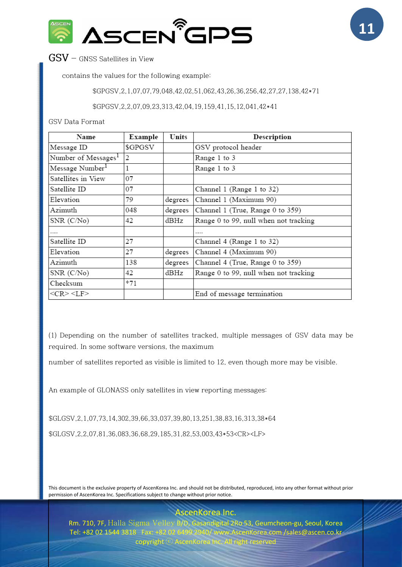

**GSV** — GNSS Satellites in View

contains the values for the following example:

\$GPGSV,2,1,07,07,79,048,42,02,51,062,43,26,36,256,42,27,27,138,42\*71

\$GPGSV,2,2,07,09,23,313,42,04,19,159,41,15,12,041,42\*41

GSV Data Format

| Name                            | Example | Units   | Description                           |
|---------------------------------|---------|---------|---------------------------------------|
| Message ID                      | \$GPGSV |         | GSV protocol header                   |
| Number of Messages <sup>1</sup> | 2       |         | Range 1 to 3                          |
| Message Number <sup>1</sup>     |         |         | Range 1 to 3                          |
| Satellites in View              | 07      |         |                                       |
| Satellite ID                    | 07      |         | Channel 1 (Range 1 to 32)             |
| Elevation                       | 79      | degrees | Channel 1 (Maximum 90)                |
| Azimuth                         | 048     | degrees | Channel 1 (True, Range 0 to 359)      |
| SNR (C/No)                      | 42      | dBHz    | Range 0 to 99, null when not tracking |
| .                               |         |         |                                       |
| Satellite ID                    | 27      |         | Channel 4 (Range 1 to 32)             |
| Elevation                       | 27      | degrees | Channel 4 (Maximum 90)                |
| Azimuth                         | 138     | degrees | Channel 4 (True, Range 0 to 359)      |
| SNR (C/No)                      | 42      | dBHz    | Range 0 to 99, null when not tracking |
| Checksum                        | *71     |         |                                       |
| $<$ CR> $<$ LF>                 |         |         | End of message termination            |

(1) Depending on the number of satellites tracked, multiple messages of GSV data may be required. In some software versions, the maximum

number of satellites reported as visible is limited to 12, even though more may be visible.

An example of GLONASS only satellites in view reporting messages:

\$GLGSV,2,1,07,73,14,302,39,66,33,037,39,80,13,251,38,83,16,313,38\*64 \$GLGSV,2,2,07,81,36,083,36,68,29,185,31,82,53,003,43\*53<CR><LF>

This document is the exclusive property of AscenKorea Inc. and should not be distributed, reproduced, into any other format without prior permission of AscenKorea Inc. Specifications subject to change without prior notice.

Rm. 710, 7F, Halla Sigma Velley B/D, Gasandigital 2Ro 53, Geumcheon-gu, Seoul, Korea Tel: +82 02 1544 3818 Fax: +82 02 6499 2940/ www.AscenKorea.com /sales@ascen.co.kr copyright  $\odot$  AscenKorea

scenKorea Inc.

**11**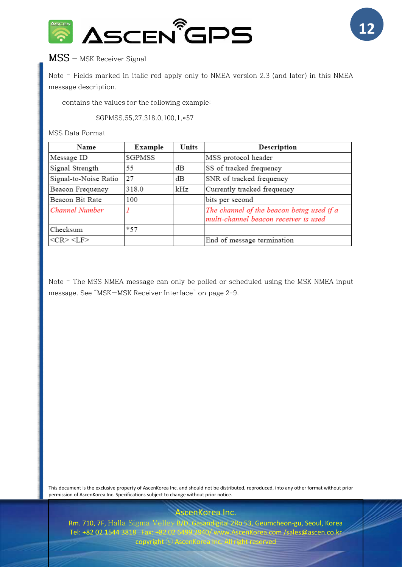



## **MSS** — MSK Receiver Signal

Note – Fields marked in italic red apply only to NMEA version 2.3 (and later) in this NMEA message description.

contains the values for the following example:

\$GPMSS,55,27,318.0,100,1,\*57

MSS Data Format

| Name                  | Example | Units | Description                                                                        |
|-----------------------|---------|-------|------------------------------------------------------------------------------------|
| Message ID            | \$GPMSS |       | MSS protocol header                                                                |
| Signal Strength       | 55      | dВ    | SS of tracked frequency                                                            |
| Signal-to-Noise Ratio | 27      | dВ    | SNR of tracked frequency                                                           |
| Beacon Frequency      | 318.0   | kHz   | Currently tracked frequency                                                        |
| Beacon Bit Rate       | 100     |       | bits per second                                                                    |
| Channel Number        |         |       | The channel of the beacon being used if a<br>multi-channel beacon receiver is used |
| Checksum              | $*57$   |       |                                                                                    |
| $<$ CR> $<$ LF>       |         |       | End of message termination                                                         |

Note – The MSS NMEA message can only be polled or scheduled using the MSK NMEA input message. See "MSK—MSK Receiver Interface" on page 2-9.

This document is the exclusive property of AscenKorea Inc. and should not be distributed, reproduced, into any other format without prior permission of AscenKorea Inc. Specifications subject to change without prior notice.

AscenKorea Inc.

Rm. 710, 7F, Halla Sigma Velley B/D, Gasandigital 2Ro 53, Geumcheon-gu, Seoul, Korea Tel: +82 02 1544 3818 Fax: +82 02 6499 2940/ www.AscenKorea.com /sales@ascen.co.kr copyright  $\odot$  AscenKorea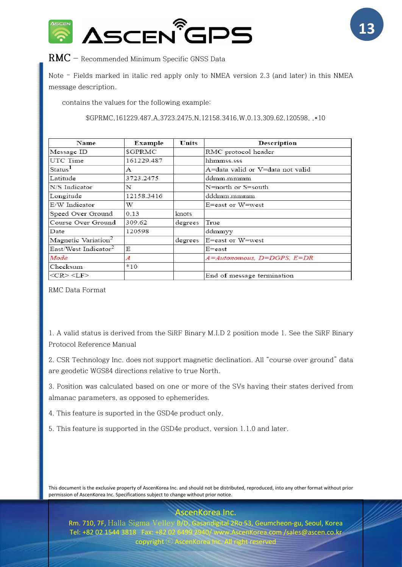



## RMC - Recommended Minimum Specific GNSS Data

Note – Fields marked in italic red apply only to NMEA version 2.3 (and later) in this NMEA message description.

contains the values for the following example:

\$GPRMC,161229.487,A,3723.2475,N,12158.3416,W,0.13,309.62,120598, ,\*10

| Name                             | Example        | Units   | Description                      |
|----------------------------------|----------------|---------|----------------------------------|
| Message ID                       | \$GPRMC        |         | RMC protocol header              |
| UTC Time                         | 161229.487     |         | hhmmss.sss                       |
| Status <sup>1</sup>              | A              |         | A=data valid or V=data not valid |
| Latitude                         | 3723.2475      |         | ddmm.mmmm                        |
| N/S Indicator                    | N              |         | N=north or S=south               |
| Longitude                        | 12158.3416     |         | dddmm.mmmm                       |
| E/W Indicator                    | W              |         | E=east or W=west                 |
| Speed Over Ground                | 0.13           | knots   |                                  |
| Course Over Ground               | 309.62         | degrees | True                             |
| Date                             | 120598         |         | ddmmyy                           |
| Magnetic Variation <sup>2</sup>  |                | degrees | E=east or W=west                 |
| East/West Indicator <sup>2</sup> | E              |         | $E = east$                       |
| Mode                             | $\overline{A}$ |         | $A=Autonomous, D=DGPS, E=DR$     |
| Checksum                         | $*10$          |         |                                  |
| $<<$ R $>$ $<$ LF $>$            |                |         | End of message termination       |

RMC Data Format

1. A valid status is derived from the SiRF Binary M.I.D 2 position mode 1. See the SiRF Binary Protocol Reference Manual

2. CSR Technology Inc. does not support magnetic declination. All "course over ground" data are geodetic WGS84 directions relative to true North.

3. Position was calculated based on one or more of the SVs having their states derived from almanac parameters, as opposed to ephemerides.

4. This feature is suported in the GSD4e product only.

5. This feature is supported in the GSD4e product, version 1.1.0 and later.

This document is the exclusive property of AscenKorea Inc. and should not be distributed, reproduced, into any other format without prior permission of AscenKorea Inc. Specifications subject to change without prior notice.

scenKorea Inc.

Rm. 710, 7F, Halla Sigma Velley B/D, Gasandigital 2Ro 53, Geumcheon-gu, Seoul, Korea Tel: +82 02 1544 3818 Fax: +82 02 6499 2940/ www.AscenKorea.com /sales@ascen.co.kr copyright  $\odot$  AscenKore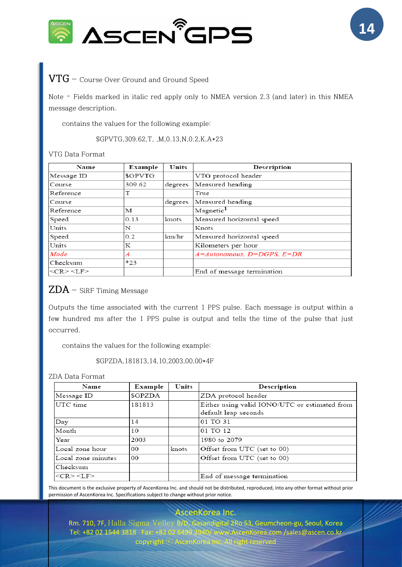



## **VTG** —Course Over Ground and Ground Speed

Note – Fields marked in italic red apply only to NMEA version 2.3 (and later) in this NMEA message description.

contains the values for the following example:

\$GPVTG,309.62,T, ,M,0.13,N,0.2,K,A\*23

#### VTG Data Format

| Name                   | Example | Units   | Description                |
|------------------------|---------|---------|----------------------------|
| Message ID             | \$GPVTG |         | VTG protocol header        |
| Course                 | 309.62  | degrees | Measured heading           |
| Reference              |         |         | True                       |
| Course                 |         | degrees | Measured heading           |
| Reference              | М       |         | Magnetic <sup>1</sup>      |
| Speed                  | 0.13    | knots   | Measured horizontal speed  |
| Units                  | N       |         | Knots                      |
| Speed                  | 0.2     | km/hr   | Measured horizontal speed  |
| Units                  | Κ       |         | Kilometers per hour        |
| Mode                   | Α       |         | A=Autonomous, D=DGPS, E=DR |
| Checksum               | $*23$   |         |                            |
| $<<$ CR $>$ $<$ LF $>$ |         |         | End of message termination |

## $ZDA$  – SiRF Timing Message

Outputs the time associated with the current 1 PPS pulse. Each message is output within a few hundred ms after the 1 PPS pulse is output and tells the time of the pulse that just occurred.

contains the values for the following example:

\$GPZDA,181813,14,10,2003,00,00\*4F

#### ZDA Data Format

| Name                  | Example | Units | Description                                                           |
|-----------------------|---------|-------|-----------------------------------------------------------------------|
| Message ID            | \$GPZDA |       | ZDA protocol header                                                   |
| UTC time              | 181813  |       | Either using valid IONO/UTC or estimated from<br>default leap seconds |
| Day                   | 14      |       | 01 TO 31                                                              |
| Month                 | 10      |       | 01 TO 12                                                              |
| Year                  | 2003    |       | 1980 to 2079                                                          |
| Local zone hour       | 00      | knots | Offset from UTC (set to 00)                                           |
| Local zone minutes    | 00      |       | Offset from UTC (set to 00)                                           |
| Checksum              |         |       |                                                                       |
| $<$ CR $>$ $<$ LF $>$ |         |       | End of message termination                                            |

This document is the exclusive property of AscenKorea Inc. and should not be distributed, reproduced, into any other format without prior permission of AscenKorea Inc. Specifications subject to change without prior notice.

.scenKorea Inc.

Rm. 710, 7F, Halla Sigma Velley B/D, Gasandigital 2Ro 53, Geumcheon-gu, Seoul, Korea Tel: +82 02 1544 3818 Fax: +82 02 6499 2940/ www.AscenKorea.com /sales@ascen.co.kr copyright  $\odot$  AscenKorea